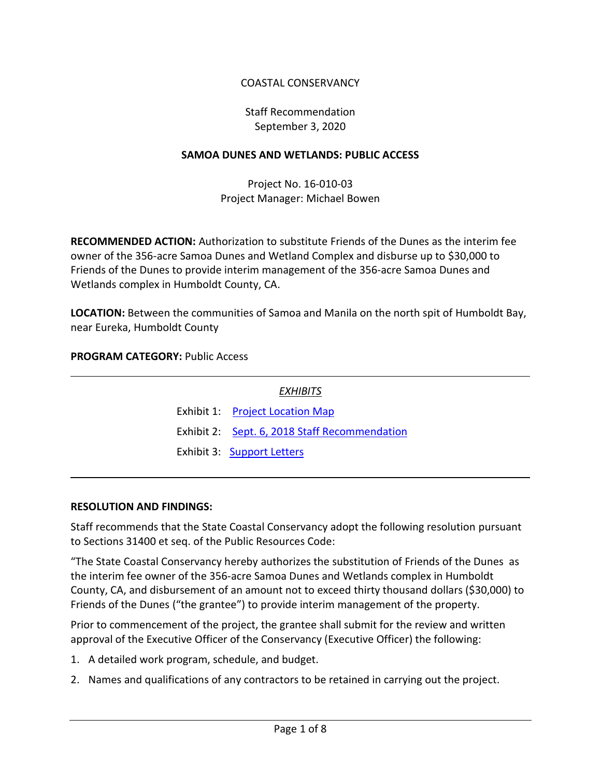# COASTAL CONSERVANCY

# Staff Recommendation September 3, 2020

### **SAMOA DUNES AND WETLANDS: PUBLIC ACCESS**

# Project No. 16-010-03 Project Manager: Michael Bowen

**RECOMMENDED ACTION:** Authorization to substitute Friends of the Dunes as the interim fee owner of the 356-acre Samoa Dunes and Wetland Complex and disburse up to \$30,000 to Friends of the Dunes to provide interim management of the 356-acre Samoa Dunes and Wetlands complex in Humboldt County, CA.

**LOCATION:** Between the communities of Samoa and Manila on the north spit of Humboldt Bay, near Eureka, Humboldt County

### **PROGRAM CATEGORY:** Public Access

| EXHIBITS |                                               |  |
|----------|-----------------------------------------------|--|
|          | Exhibit 1: Project Location Map               |  |
|          | Exhibit 2: Sept. 6, 2018 Staff Recommendation |  |
|          | Exhibit 3: Support Letters                    |  |
|          |                                               |  |

### **RESOLUTION AND FINDINGS:**

Staff recommends that the State Coastal Conservancy adopt the following resolution pursuant to Sections 31400 et seq. of the Public Resources Code:

"The State Coastal Conservancy hereby authorizes the substitution of Friends of the Dunes as the interim fee owner of the 356-acre Samoa Dunes and Wetlands complex in Humboldt County, CA, and disbursement of an amount not to exceed thirty thousand dollars (\$30,000) to Friends of the Dunes ("the grantee") to provide interim management of the property.

Prior to commencement of the project, the grantee shall submit for the review and written approval of the Executive Officer of the Conservancy (Executive Officer) the following:

- 1. A detailed work program, schedule, and budget.
- 2. Names and qualifications of any contractors to be retained in carrying out the project.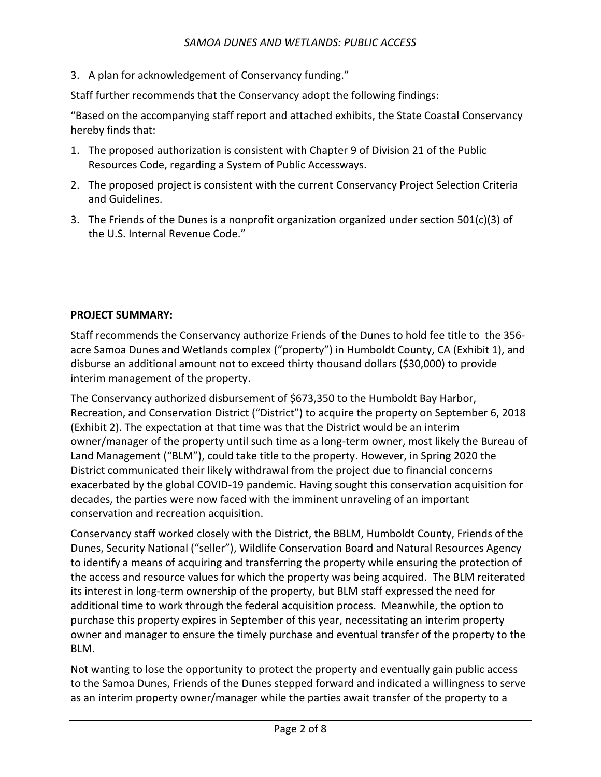3. A plan for acknowledgement of Conservancy funding."

Staff further recommends that the Conservancy adopt the following findings:

"Based on the accompanying staff report and attached exhibits, the State Coastal Conservancy hereby finds that:

- 1. The proposed authorization is consistent with Chapter 9 of Division 21 of the Public Resources Code, regarding a System of Public Accessways.
- 2. The proposed project is consistent with the current Conservancy Project Selection Criteria and Guidelines.
- 3. The Friends of the Dunes is a nonprofit organization organized under section 501(c)(3) of the U.S. Internal Revenue Code."

### **PROJECT SUMMARY:**

Staff recommends the Conservancy authorize Friends of the Dunes to hold fee title to the 356 acre Samoa Dunes and Wetlands complex ("property") in Humboldt County, CA (Exhibit 1), and disburse an additional amount not to exceed thirty thousand dollars (\$30,000) to provide interim management of the property.

The Conservancy authorized disbursement of \$673,350 to the Humboldt Bay Harbor, Recreation, and Conservation District ("District") to acquire the property on September 6, 2018 (Exhibit 2). The expectation at that time was that the District would be an interim owner/manager of the property until such time as a long-term owner, most likely the Bureau of Land Management ("BLM"), could take title to the property. However, in Spring 2020 the District communicated their likely withdrawal from the project due to financial concerns exacerbated by the global COVID-19 pandemic. Having sought this conservation acquisition for decades, the parties were now faced with the imminent unraveling of an important conservation and recreation acquisition.

Conservancy staff worked closely with the District, the BBLM, Humboldt County, Friends of the Dunes, Security National ("seller"), Wildlife Conservation Board and Natural Resources Agency to identify a means of acquiring and transferring the property while ensuring the protection of the access and resource values for which the property was being acquired. The BLM reiterated its interest in long-term ownership of the property, but BLM staff expressed the need for additional time to work through the federal acquisition process. Meanwhile, the option to purchase this property expires in September of this year, necessitating an interim property owner and manager to ensure the timely purchase and eventual transfer of the property to the BLM.

Not wanting to lose the opportunity to protect the property and eventually gain public access to the Samoa Dunes, Friends of the Dunes stepped forward and indicated a willingness to serve as an interim property owner/manager while the parties await transfer of the property to a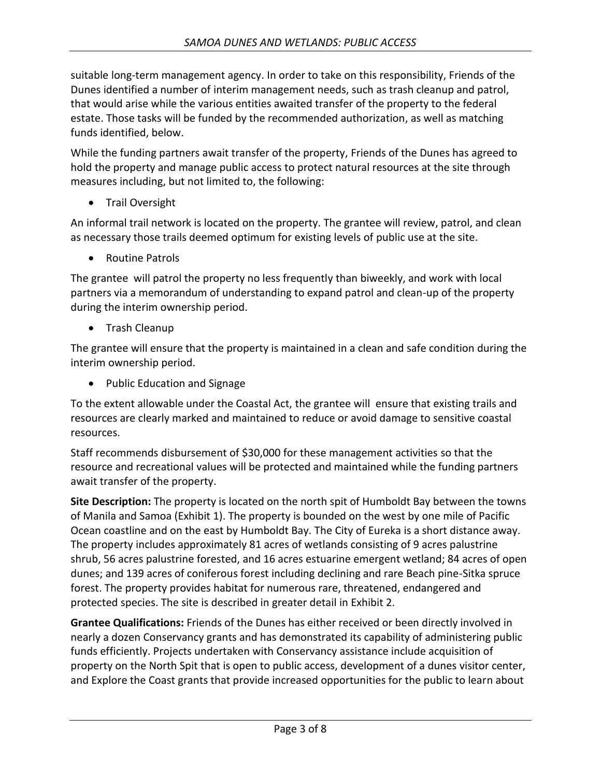suitable long-term management agency. In order to take on this responsibility, Friends of the Dunes identified a number of interim management needs, such as trash cleanup and patrol, that would arise while the various entities awaited transfer of the property to the federal estate. Those tasks will be funded by the recommended authorization, as well as matching funds identified, below.

While the funding partners await transfer of the property, Friends of the Dunes has agreed to hold the property and manage public access to protect natural resources at the site through measures including, but not limited to, the following:

• Trail Oversight

An informal trail network is located on the property. The grantee will review, patrol, and clean as necessary those trails deemed optimum for existing levels of public use at the site.

• Routine Patrols

The grantee will patrol the property no less frequently than biweekly, and work with local partners via a memorandum of understanding to expand patrol and clean-up of the property during the interim ownership period.

• Trash Cleanup

The grantee will ensure that the property is maintained in a clean and safe condition during the interim ownership period.

• Public Education and Signage

To the extent allowable under the Coastal Act, the grantee will ensure that existing trails and resources are clearly marked and maintained to reduce or avoid damage to sensitive coastal resources.

Staff recommends disbursement of \$30,000 for these management activities so that the resource and recreational values will be protected and maintained while the funding partners await transfer of the property.

**Site Description:** The property is located on the north spit of Humboldt Bay between the towns of Manila and Samoa (Exhibit 1). The property is bounded on the west by one mile of Pacific Ocean coastline and on the east by Humboldt Bay. The City of Eureka is a short distance away. The property includes approximately 81 acres of wetlands consisting of 9 acres palustrine shrub, 56 acres palustrine forested, and 16 acres estuarine emergent wetland; 84 acres of open dunes; and 139 acres of coniferous forest including declining and rare Beach pine-Sitka spruce forest. The property provides habitat for numerous rare, threatened, endangered and protected species. The site is described in greater detail in Exhibit 2.

**Grantee Qualifications:** Friends of the Dunes has either received or been directly involved in nearly a dozen Conservancy grants and has demonstrated its capability of administering public funds efficiently. Projects undertaken with Conservancy assistance include acquisition of property on the North Spit that is open to public access, development of a dunes visitor center, and Explore the Coast grants that provide increased opportunities for the public to learn about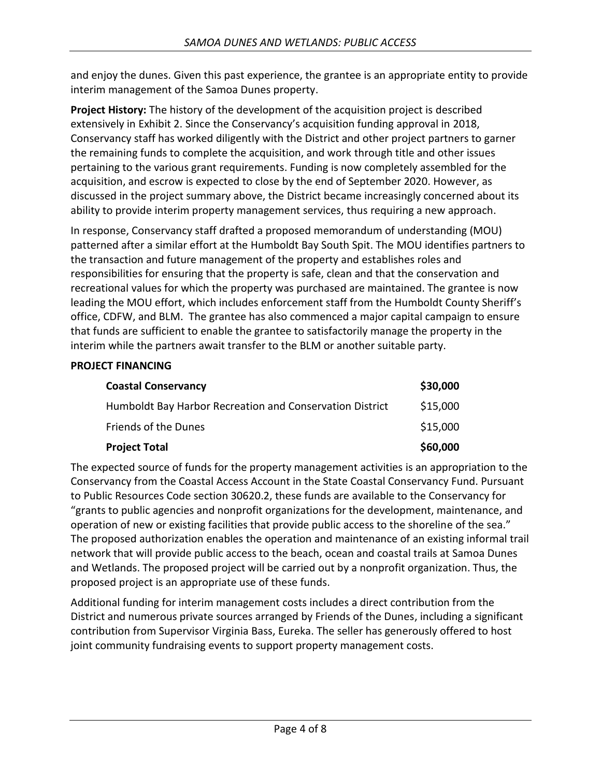and enjoy the dunes. Given this past experience, the grantee is an appropriate entity to provide interim management of the Samoa Dunes property.

**Project History:** The history of the development of the acquisition project is described extensively in Exhibit 2. Since the Conservancy's acquisition funding approval in 2018, Conservancy staff has worked diligently with the District and other project partners to garner the remaining funds to complete the acquisition, and work through title and other issues pertaining to the various grant requirements. Funding is now completely assembled for the acquisition, and escrow is expected to close by the end of September 2020. However, as discussed in the project summary above, the District became increasingly concerned about its ability to provide interim property management services, thus requiring a new approach.

In response, Conservancy staff drafted a proposed memorandum of understanding (MOU) patterned after a similar effort at the Humboldt Bay South Spit. The MOU identifies partners to the transaction and future management of the property and establishes roles and responsibilities for ensuring that the property is safe, clean and that the conservation and recreational values for which the property was purchased are maintained. The grantee is now leading the MOU effort, which includes enforcement staff from the Humboldt County Sheriff's office, CDFW, and BLM. The grantee has also commenced a major capital campaign to ensure that funds are sufficient to enable the grantee to satisfactorily manage the property in the interim while the partners await transfer to the BLM or another suitable party.

### **PROJECT FINANCING**

| <b>Coastal Conservancy</b>                               | \$30,000 |
|----------------------------------------------------------|----------|
| Humboldt Bay Harbor Recreation and Conservation District | \$15,000 |
| <b>Friends of the Dunes</b>                              | \$15,000 |
| <b>Project Total</b>                                     | \$60,000 |

The expected source of funds for the property management activities is an appropriation to the Conservancy from the Coastal Access Account in the State Coastal Conservancy Fund. Pursuant to Public Resources Code section 30620.2, these funds are available to the Conservancy for "grants to public agencies and nonprofit organizations for the development, maintenance, and operation of new or existing facilities that provide public access to the shoreline of the sea." The proposed authorization enables the operation and maintenance of an existing informal trail network that will provide public access to the beach, ocean and coastal trails at Samoa Dunes and Wetlands. The proposed project will be carried out by a nonprofit organization. Thus, the proposed project is an appropriate use of these funds.

Additional funding for interim management costs includes a direct contribution from the District and numerous private sources arranged by Friends of the Dunes, including a significant contribution from Supervisor Virginia Bass, Eureka. The seller has generously offered to host joint community fundraising events to support property management costs.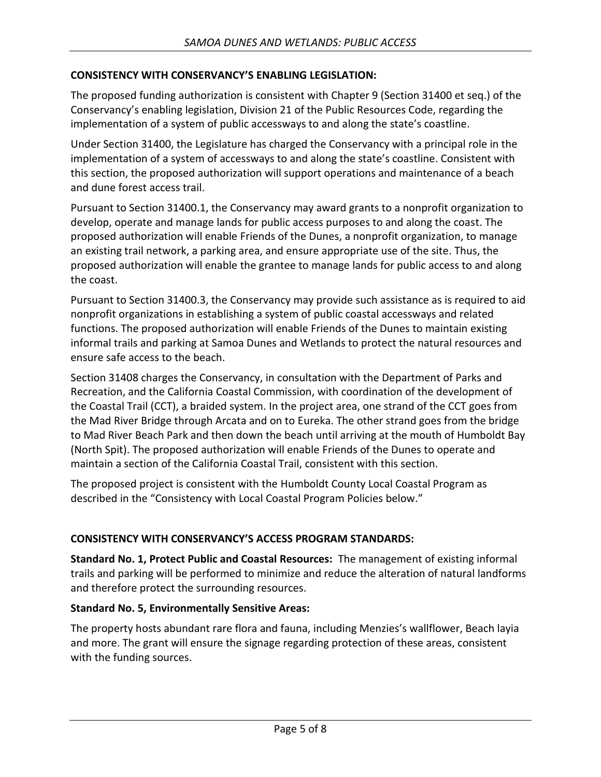### **CONSISTENCY WITH CONSERVANCY'S ENABLING LEGISLATION:**

The proposed funding authorization is consistent with Chapter 9 (Section 31400 et seq.) of the Conservancy's enabling legislation, Division 21 of the Public Resources Code, regarding the implementation of a system of public accessways to and along the state's coastline.

Under Section 31400, the Legislature has charged the Conservancy with a principal role in the implementation of a system of accessways to and along the state's coastline. Consistent with this section, the proposed authorization will support operations and maintenance of a beach and dune forest access trail.

Pursuant to Section 31400.1, the Conservancy may award grants to a nonprofit organization to develop, operate and manage lands for public access purposes to and along the coast. The proposed authorization will enable Friends of the Dunes, a nonprofit organization, to manage an existing trail network, a parking area, and ensure appropriate use of the site. Thus, the proposed authorization will enable the grantee to manage lands for public access to and along the coast.

Pursuant to Section 31400.3, the Conservancy may provide such assistance as is required to aid nonprofit organizations in establishing a system of public coastal accessways and related functions. The proposed authorization will enable Friends of the Dunes to maintain existing informal trails and parking at Samoa Dunes and Wetlands to protect the natural resources and ensure safe access to the beach.

Section 31408 charges the Conservancy, in consultation with the Department of Parks and Recreation, and the California Coastal Commission, with coordination of the development of the Coastal Trail (CCT), a braided system. In the project area, one strand of the CCT goes from the Mad River Bridge through Arcata and on to Eureka. The other strand goes from the bridge to Mad River Beach Park and then down the beach until arriving at the mouth of Humboldt Bay (North Spit). The proposed authorization will enable Friends of the Dunes to operate and maintain a section of the California Coastal Trail, consistent with this section.

The proposed project is consistent with the Humboldt County Local Coastal Program as described in the "Consistency with Local Coastal Program Policies below."

### **CONSISTENCY WITH CONSERVANCY'S ACCESS PROGRAM STANDARDS:**

**Standard No. 1, Protect Public and Coastal Resources:** The management of existing informal trails and parking will be performed to minimize and reduce the alteration of natural landforms and therefore protect the surrounding resources.

### **Standard No. 5, Environmentally Sensitive Areas:**

The property hosts abundant rare flora and fauna, including Menzies's wallflower, Beach layia and more. The grant will ensure the signage regarding protection of these areas, consistent with the funding sources.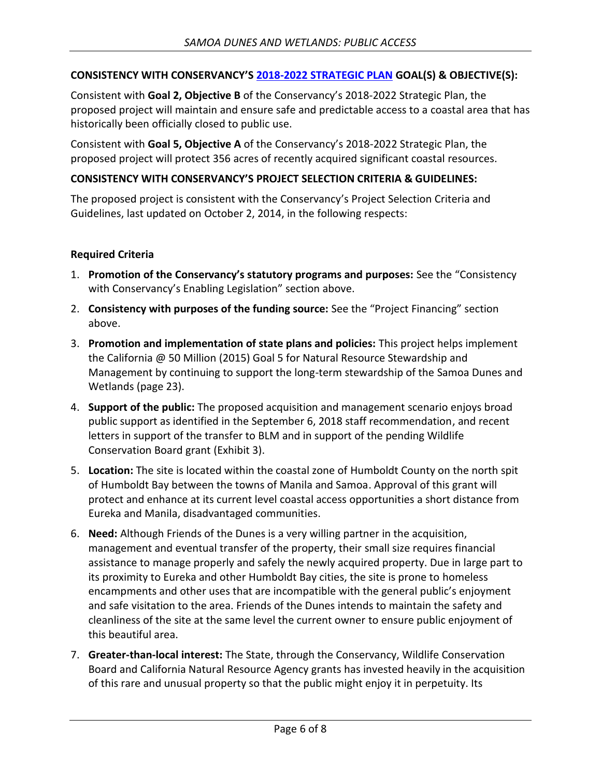### **CONSISTENCY WITH CONSERVANCY'S 2018-2022 [STRATEGIC PLAN](http://scc.ca.gov/files/2018/01/CoastalConservancy_StrategicPlan_2018_2022.pdf) GOAL(S) & OBJECTIVE(S):**

Consistent with **Goal 2, Objective B** of the Conservancy's 2018-2022 Strategic Plan, the proposed project will maintain and ensure safe and predictable access to a coastal area that has historically been officially closed to public use.

Consistent with **Goal 5, Objective A** of the Conservancy's 2018-2022 Strategic Plan, the proposed project will protect 356 acres of recently acquired significant coastal resources.

### **CONSISTENCY WITH CONSERVANCY'S PROJECT SELECTION CRITERIA & GUIDELINES:**

The proposed project is consistent with the Conservancy's Project Selection Criteria and Guidelines, last updated on October 2, 2014, in the following respects:

### **Required Criteria**

- 1. **Promotion of the Conservancy's statutory programs and purposes:** See the "Consistency with Conservancy's Enabling Legislation" section above.
- 2. **Consistency with purposes of the funding source:** See the "Project Financing" section above.
- 3. **Promotion and implementation of state plans and policies:** This project helps implement the California @ 50 Million (2015) Goal 5 for Natural Resource Stewardship and Management by continuing to support the long-term stewardship of the Samoa Dunes and Wetlands (page 23).
- 4. **Support of the public:** The proposed acquisition and management scenario enjoys broad public support as identified in the September 6, 2018 staff recommendation, and recent letters in support of the transfer to BLM and in support of the pending Wildlife Conservation Board grant (Exhibit 3).
- 5. **Location:** The site is located within the coastal zone of Humboldt County on the north spit of Humboldt Bay between the towns of Manila and Samoa. Approval of this grant will protect and enhance at its current level coastal access opportunities a short distance from Eureka and Manila, disadvantaged communities.
- 6. **Need:** Although Friends of the Dunes is a very willing partner in the acquisition, management and eventual transfer of the property, their small size requires financial assistance to manage properly and safely the newly acquired property. Due in large part to its proximity to Eureka and other Humboldt Bay cities, the site is prone to homeless encampments and other uses that are incompatible with the general public's enjoyment and safe visitation to the area. Friends of the Dunes intends to maintain the safety and cleanliness of the site at the same level the current owner to ensure public enjoyment of this beautiful area.
- 7. **Greater-than-local interest:** The State, through the Conservancy, Wildlife Conservation Board and California Natural Resource Agency grants has invested heavily in the acquisition of this rare and unusual property so that the public might enjoy it in perpetuity. Its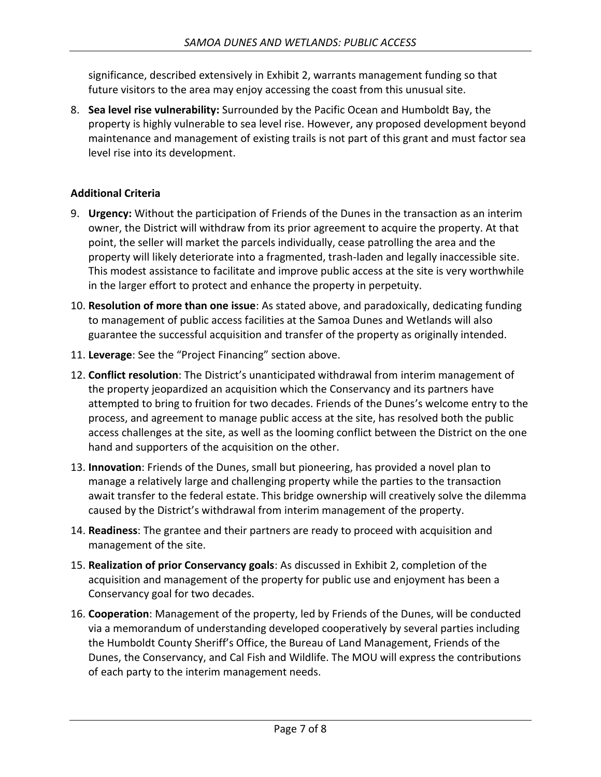significance, described extensively in Exhibit 2, warrants management funding so that future visitors to the area may enjoy accessing the coast from this unusual site.

8. **Sea level rise vulnerability:** Surrounded by the Pacific Ocean and Humboldt Bay, the property is highly vulnerable to sea level rise. However, any proposed development beyond maintenance and management of existing trails is not part of this grant and must factor sea level rise into its development.

### **Additional Criteria**

- 9. **Urgency:** Without the participation of Friends of the Dunes in the transaction as an interim owner, the District will withdraw from its prior agreement to acquire the property. At that point, the seller will market the parcels individually, cease patrolling the area and the property will likely deteriorate into a fragmented, trash-laden and legally inaccessible site. This modest assistance to facilitate and improve public access at the site is very worthwhile in the larger effort to protect and enhance the property in perpetuity.
- 10. **Resolution of more than one issue**: As stated above, and paradoxically, dedicating funding to management of public access facilities at the Samoa Dunes and Wetlands will also guarantee the successful acquisition and transfer of the property as originally intended.
- 11. **Leverage**: See the "Project Financing" section above.
- 12. **Conflict resolution**: The District's unanticipated withdrawal from interim management of the property jeopardized an acquisition which the Conservancy and its partners have attempted to bring to fruition for two decades. Friends of the Dunes's welcome entry to the process, and agreement to manage public access at the site, has resolved both the public access challenges at the site, as well as the looming conflict between the District on the one hand and supporters of the acquisition on the other.
- 13. **Innovation**: Friends of the Dunes, small but pioneering, has provided a novel plan to manage a relatively large and challenging property while the parties to the transaction await transfer to the federal estate. This bridge ownership will creatively solve the dilemma caused by the District's withdrawal from interim management of the property.
- 14. **Readiness**: The grantee and their partners are ready to proceed with acquisition and management of the site.
- 15. **Realization of prior Conservancy goals**: As discussed in Exhibit 2, completion of the acquisition and management of the property for public use and enjoyment has been a Conservancy goal for two decades.
- 16. **Cooperation**: Management of the property, led by Friends of the Dunes, will be conducted via a memorandum of understanding developed cooperatively by several parties including the Humboldt County Sheriff's Office, the Bureau of Land Management, Friends of the Dunes, the Conservancy, and Cal Fish and Wildlife. The MOU will express the contributions of each party to the interim management needs.